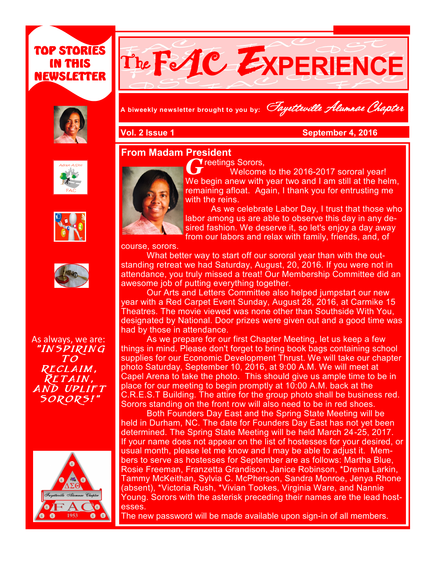









As always, we are: "Inspiring To Reclaim, RETAIN, AND UPLIFT Sorors!"





**A biweekly newsletter brought to you by:** Fayetteville Alumnae Chapter

**Vol. 2 Issue 1 September 4, 2016** 

#### **From Madam President**



 $\gamma$  reetings Sorors.

Welcome to the 2016-2017 sororal year! We begin anew with year two and I am still at the helm, remaining afloat. Again, I thank you for entrusting me with the reins.

**Newsletter Date**

As we celebrate Labor Day, I trust that those who labor among us are able to observe this day in any desired fashion. We deserve it, so let's enjoy a day away from our labors and relax with family, friends, and, of

course, sorors.

What better way to start off our sororal year than with the outstanding retreat we had Saturday, August, 20, 2016. If you were not in attendance, you truly missed a treat! Our Membership Committee did an awesome job of putting everything together.

Our Arts and Letters Committee also helped jumpstart our new year with a Red Carpet Event Sunday, August 28, 2016, at Carmike 15 Theatres. The movie viewed was none other than Southside With You, designated by National. Door prizes were given out and a good time was had by those in attendance.

As we prepare for our first Chapter Meeting, let us keep a few things in mind. Please don't forget to bring book bags containing school supplies for our Economic Development Thrust. We will take our chapter photo Saturday, September 10, 2016, at 9:00 A.M. We will meet at Capel Arena to take the photo. This should give us ample time to be in place for our meeting to begin promptly at 10:00 A.M. back at the C.R.E.S.T Building. The attire for the group photo shall be business red. Sorors standing on the front row will also need to be in red shoes.

Both Founders Day East and the Spring State Meeting will be held in Durham, NC. The date for Founders Day East has not yet been determined. The Spring State Meeting will be held March 24-25, 2017. If your name does not appear on the list of hostesses for your desired, or usual month, please let me know and I may be able to adjust it. Members to serve as hostesses for September are as follows: Martha Blue, Rosie Freeman, Franzetta Grandison, Janice Robinson, \*Drema Larkin, Tammy McKeithan, Sylvia C. McPherson, Sandra Monroe, Jenya Rhone (absent), \*Victoria Rush, \*Vivian Tookes, Virginia Ware, and Nannie Young. Sorors with the asterisk preceding their names are the lead hostesses.

The new password will be made available upon sign-in of all members.